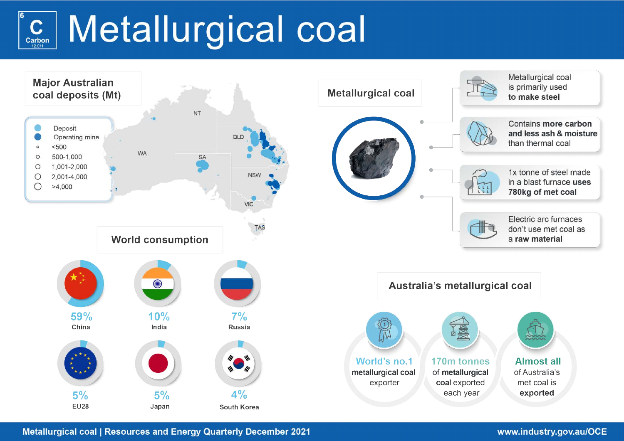# Metallurgical coal  $\mathbf{C}$ Carbon 12.011



**Metallurgical coal | Resources and Energy Quarterly December 2021** 

# www.industry.gov.au/OCE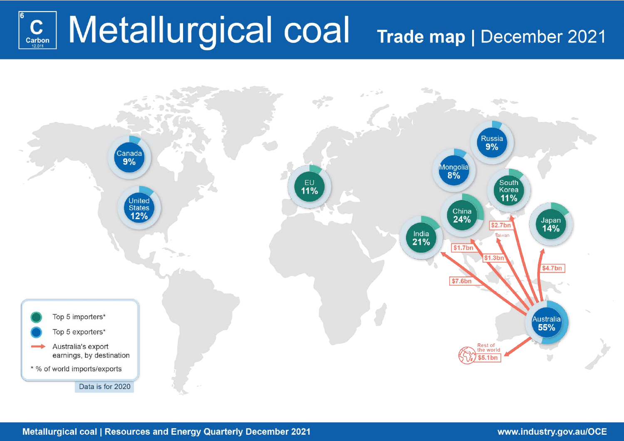# C Metallurgical coal Trade map | December 2021 Carbon

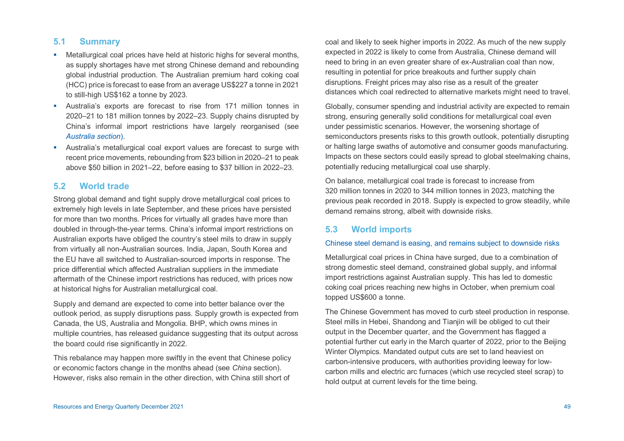## **5.1 Summary**

- Metallurgical coal prices have held at historic highs for several months, as supply shortages have met strong Chinese demand and rebounding global industrial production. The Australian premium hard coking coal (HCC) price is forecast to ease from an average US\$227 a tonne in 2021 to still-high US\$162 a tonne by 2023.
- Australia's exports are forecast to rise from 171 million tonnes in 2020–21 to 181 million tonnes by 2022–23. Supply chains disrupted by China's informal import restrictions have largely reorganised (see *Australia section*).
- Australia's metallurgical coal export values are forecast to surge with recent price movements, rebounding from \$23 billion in 2020–21 to peak above \$50 billion in 2021–22, before easing to \$37 billion in 2022–23.

## **5.2 World trade**

Strong global demand and tight supply drove metallurgical coal prices to extremely high levels in late September, and these prices have persisted for more than two months. Prices for virtually all grades have more than doubled in through-the-year terms. China's informal import restrictions on Australian exports have obliged the country's steel mils to draw in supply from virtually all non-Australian sources. India, Japan, South Korea and the EU have all switched to Australian-sourced imports in response. The price differential which affected Australian suppliers in the immediate aftermath of the Chinese import restrictions has reduced, with prices now at historical highs for Australian metallurgical coal.

Supply and demand are expected to come into better balance over the outlook period, as supply disruptions pass. Supply growth is expected from Canada, the US, Australia and Mongolia. BHP, which owns mines in multiple countries, has released guidance suggesting that its output across the board could rise significantly in 2022.

This rebalance may happen more swiftly in the event that Chinese policy or economic factors change in the months ahead (see *China* section). However, risks also remain in the other direction, with China still short of

coal and likely to seek higher imports in 2022. As much of the new supply expected in 2022 is likely to come from Australia, Chinese demand will need to bring in an even greater share of ex-Australian coal than now, resulting in potential for price breakouts and further supply chain disruptions. Freight prices may also rise as a result of the greater distances which coal redirected to alternative markets might need to travel.

Globally, consumer spending and industrial activity are expected to remain strong, ensuring generally solid conditions for metallurgical coal even under pessimistic scenarios. However, the worsening shortage of semiconductors presents risks to this growth outlook, potentially disrupting or halting large swaths of automotive and consumer goods manufacturing. Impacts on these sectors could easily spread to global steelmaking chains, potentially reducing metallurgical coal use sharply.

On balance, metallurgical coal trade is forecast to increase from 320 million tonnes in 2020 to 344 million tonnes in 2023, matching the previous peak recorded in 2018. Supply is expected to grow steadily, while demand remains strong, albeit with downside risks.

## **5.3 World imports**

### Chinese steel demand is easing, and remains subject to downside risks

Metallurgical coal prices in China have surged, due to a combination of strong domestic steel demand, constrained global supply, and informal import restrictions against Australian supply. This has led to domestic coking coal prices reaching new highs in October, when premium coal topped US\$600 a tonne.

The Chinese Government has moved to curb steel production in response. Steel mills in Hebei, Shandong and Tianjin will be obliged to cut their output in the December quarter, and the Government has flagged a potential further cut early in the March quarter of 2022, prior to the Beijing Winter Olympics. Mandated output cuts are set to land heaviest on carbon-intensive producers, with authorities providing leeway for lowcarbon mills and electric arc furnaces (which use recycled steel scrap) to hold output at current levels for the time being.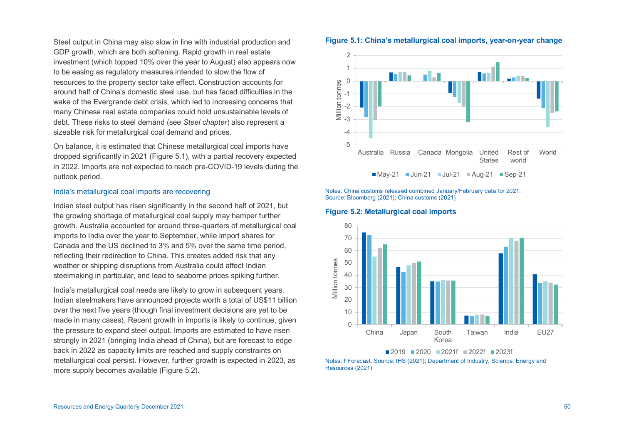Steel output in China may also slow in line with industrial production and GDP growth, which are both softening. Rapid growth in real estate investment (which topped 10% over the year to August) also appears now to be easing as regulatory measures intended to slow the flow of resources to the property sector take effect. Construction accounts for around half of China's domestic steel use, but has faced difficulties in the wake of the Evergrande debt crisis, which led to increasing concerns that many Chinese real estate companies could hold unsustainable levels of debt. These risks to steel demand (see *Steel chapter*) also represent a sizeable risk for metallurgical coal demand and prices.

On balance, it is estimated that Chinese metallurgical coal imports have dropped significantly in 2021 (Figure 5.1), with a partial recovery expected in 2022. Imports are not expected to reach pre-COVID-19 levels during the outlook period.

#### India's metallurgical coal imports are recovering

Indian steel output has risen significantly in the second half of 2021, but the growing shortage of metallurgical coal supply may hamper further growth. Australia accounted for around three-quarters of metallurgical coal imports to India over the year to September, while import shares for Canada and the US declined to 3% and 5% over the same time period, reflecting their redirection to China. This creates added risk that any weather or shipping disruptions from Australia could affect Indian steelmaking in particular, and lead to seaborne prices spiking further.

India's metallurgical coal needs are likely to grow in subsequent years. Indian steelmakers have announced projects worth a total of US\$11 billion over the next five years (though final investment decisions are yet to be made in many cases). Recent growth in imports is likely to continue, given the pressure to expand steel output. Imports are estimated to have risen strongly in 2021 (bringing India ahead of China), but are forecast to edge back in 2022 as capacity limits are reached and supply constraints on metallurgical coal persist. However, further growth is expected in 2023, as more supply becomes available (Figure 5.2).





Notes: China customs released combined January/February data for 2021. Source: Bloomberg (2021); China customs (2021)





Notes: **f** Forecast..Source: IHS (2021); Department of Industry, Science, Energy and Resources (2021)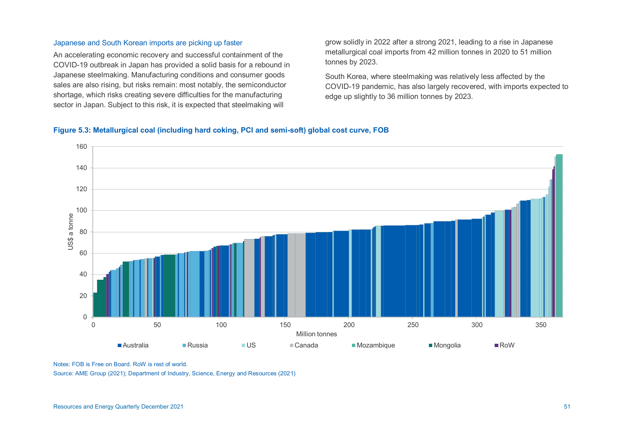## Japanese and South Korean imports are picking up faster

An accelerating economic recovery and successful containment of the COVID-19 outbreak in Japan has provided a solid basis for a rebound in Japanese steelmaking. Manufacturing conditions and consumer goods sales are also rising, but risks remain: most notably, the semiconductor shortage, which risks creating severe difficulties for the manufacturing sector in Japan. Subject to this risk, it is expected that steelmaking will

grow solidly in 2022 after a strong 2021, leading to a rise in Japanese metallurgical coal imports from 42 million tonnes in 2020 to 51 million tonnes by 2023.

South Korea, where steelmaking was relatively less affected by the COVID-19 pandemic, has also largely recovered, with imports expected to edge up slightly to 36 million tonnes by 2023.

## **Figure 5.3: Metallurgical coal (including hard coking, PCI and semi-soft) global cost curve, FOB**



Notes: FOB is Free on Board. RoW is rest of world.

Source: AME Group (2021); Department of Industry, Science, Energy and Resources (2021)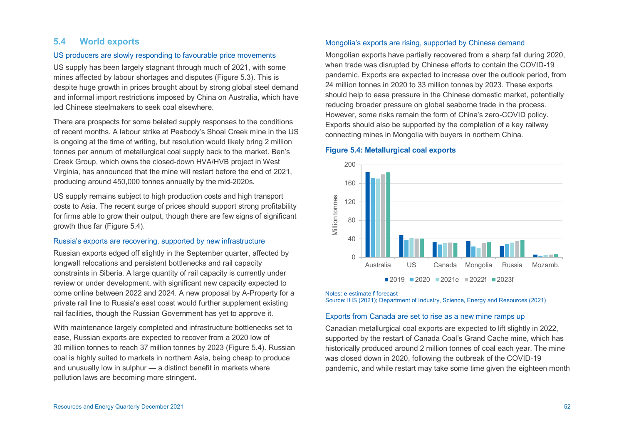# **5.4 World exports**

### US producers are slowly responding to favourable price movements

US supply has been largely stagnant through much of 2021, with some mines affected by labour shortages and disputes (Figure 5.3). This is despite huge growth in prices brought about by strong global steel demand and informal import restrictions imposed by China on Australia, which have led Chinese steelmakers to seek coal elsewhere.

There are prospects for some belated supply responses to the conditions of recent months. A labour strike at Peabody's Shoal Creek mine in the US is ongoing at the time of writing, but resolution would likely bring 2 million tonnes per annum of metallurgical coal supply back to the market. Ben's Creek Group, which owns the closed-down HVA/HVB project in West Virginia, has announced that the mine will restart before the end of 2021, producing around 450,000 tonnes annually by the mid-2020s.

US supply remains subject to high production costs and high transport costs to Asia. The recent surge of prices should support strong profitability for firms able to grow their output, though there are few signs of significant growth thus far (Figure 5.4).

### Russia's exports are recovering, supported by new infrastructure

Russian exports edged off slightly in the September quarter, affected by longwall relocations and persistent bottlenecks and rail capacity constraints in Siberia. A large quantity of rail capacity is currently under review or under development, with significant new capacity expected to come online between 2022 and 2024. A new proposal by A-Property for a private rail line to Russia's east coast would further supplement existing rail facilities, though the Russian Government has yet to approve it.

With maintenance largely completed and infrastructure bottlenecks set to ease, Russian exports are expected to recover from a 2020 low of 30 million tonnes to reach 37 million tonnes by 2023 (Figure 5.4). Russian coal is highly suited to markets in northern Asia, being cheap to produce and unusually low in sulphur — a distinct benefit in markets where pollution laws are becoming more stringent.

### Mongolia's exports are rising, supported by Chinese demand

Mongolian exports have partially recovered from a sharp fall during 2020, when trade was disrupted by Chinese efforts to contain the COVID-19 pandemic. Exports are expected to increase over the outlook period, from 24 million tonnes in 2020 to 33 million tonnes by 2023. These exports should help to ease pressure in the Chinese domestic market, potentially reducing broader pressure on global seaborne trade in the process. However, some risks remain the form of China's zero-COVID policy. Exports should also be supported by the completion of a key railway connecting mines in Mongolia with buyers in northern China.

#### **Figure 5.4: Metallurgical coal exports**



Notes: **e** estimate **f** forecast

Source: IHS (2021); Department of Industry, Science, Energy and Resources (2021)

#### Exports from Canada are set to rise as a new mine ramps up

Canadian metallurgical coal exports are expected to lift slightly in 2022, supported by the restart of Canada Coal's Grand Cache mine, which has historically produced around 2 million tonnes of coal each year. The mine was closed down in 2020, following the outbreak of the COVID-19 pandemic, and while restart may take some time given the eighteen month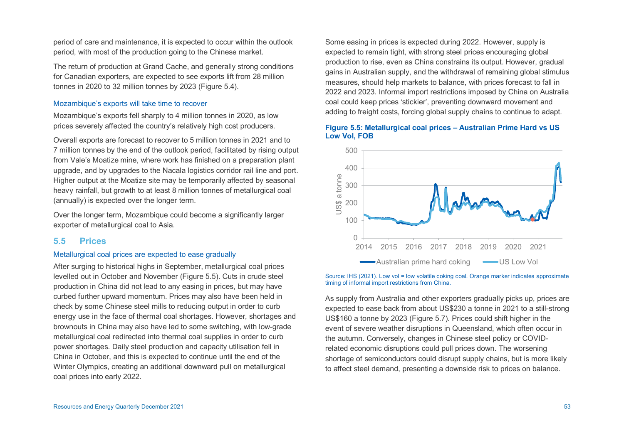period of care and maintenance, it is expected to occur within the outlook period, with most of the production going to the Chinese market.

The return of production at Grand Cache, and generally strong conditions for Canadian exporters, are expected to see exports lift from 28 million tonnes in 2020 to 32 million tonnes by 2023 (Figure 5.4).

### Mozambique's exports will take time to recover

Mozambique's exports fell sharply to 4 million tonnes in 2020, as low prices severely affected the country's relatively high cost producers.

Overall exports are forecast to recover to 5 million tonnes in 2021 and to 7 million tonnes by the end of the outlook period, facilitated by rising output from Vale's Moatize mine, where work has finished on a preparation plant upgrade, and by upgrades to the Nacala logistics corridor rail line and port. Higher output at the Moatize site may be temporarily affected by seasonal heavy rainfall, but growth to at least 8 million tonnes of metallurgical coal (annually) is expected over the longer term.

Over the longer term, Mozambique could become a significantly larger exporter of metallurgical coal to Asia.

## **5.5 Prices**

### Metallurgical coal prices are expected to ease gradually

After surging to historical highs in September, metallurgical coal prices levelled out in October and November (Figure 5.5). Cuts in crude steel production in China did not lead to any easing in prices, but may have curbed further upward momentum. Prices may also have been held in check by some Chinese steel mills to reducing output in order to curb energy use in the face of thermal coal shortages. However, shortages and brownouts in China may also have led to some switching, with low-grade metallurgical coal redirected into thermal coal supplies in order to curb power shortages. Daily steel production and capacity utilisation fell in China in October, and this is expected to continue until the end of the Winter Olympics, creating an additional downward pull on metallurgical coal prices into early 2022.

Some easing in prices is expected during 2022. However, supply is expected to remain tight, with strong steel prices encouraging global production to rise, even as China constrains its output. However, gradual gains in Australian supply, and the withdrawal of remaining global stimulus measures, should help markets to balance, with prices forecast to fall in 2022 and 2023. Informal import restrictions imposed by China on Australia coal could keep prices 'stickier', preventing downward movement and adding to freight costs, forcing global supply chains to continue to adapt.

### **Figure 5.5: Metallurgical coal prices – Australian Prime Hard vs US Low Vol, FOB**



Source: IHS (2021). Low vol = low volatile coking coal. Orange marker indicates approximate timing of informal import restrictions from China.

As supply from Australia and other exporters gradually picks up, prices are expected to ease back from about US\$230 a tonne in 2021 to a still-strong US\$160 a tonne by 2023 (Figure 5.7). Prices could shift higher in the event of severe weather disruptions in Queensland, which often occur in the autumn. Conversely, changes in Chinese steel policy or COVIDrelated economic disruptions could pull prices down. The worsening shortage of semiconductors could disrupt supply chains, but is more likely to affect steel demand, presenting a downside risk to prices on balance.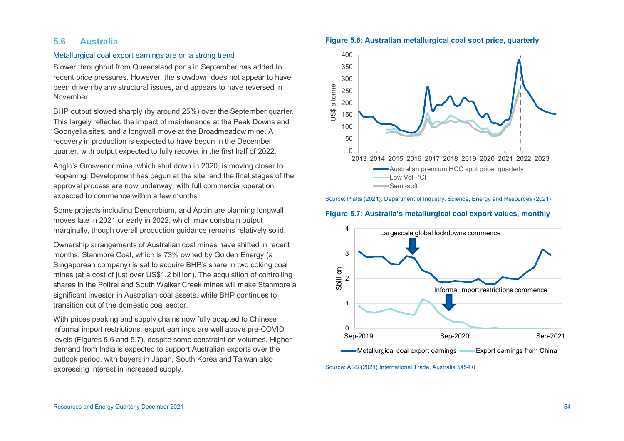## **5.6 Australia**

### Metallurgical coal export earnings are on a strong trend

Slower throughput from Queensland ports in September has added to recent price pressures. However, the slowdown does not appear to have been driven by any structural issues, and appears to have reversed in November.

BHP output slowed sharply (by around 25%) over the September quarter. This largely reflected the impact of maintenance at the Peak Downs and Goonyella sites, and a longwall move at the Broadmeadow mine. A recovery in production is expected to have begun in the December quarter, with output expected to fully recover in the first half of 2022.

Anglo's Grosvenor mine, which shut down in 2020, is moving closer to reopening. Development has begun at the site, and the final stages of the approval process are now underway, with full commercial operation expected to commence within a few months.

Some projects including Dendrobium, and Appin are planning longwall moves late in 2021 or early in 2022, which may constrain output marginally, though overall production guidance remains relatively solid.

Ownership arrangements of Australian coal mines have shifted in recent months. Stanmore Coal, which is 73% owned by Golden Energy (a Singaporean company) is set to acquire BHP's share in two coking coal mines (at a cost of just over US\$1.2 billion). The acquisition of controlling shares in the Poitrel and South Walker Creek mines will make Stanmore a significant investor in Australian coal assets, while BHP continues to transition out of the domestic coal sector.

With prices peaking and supply chains now fully adapted to Chinese informal import restrictions, export earnings are well above pre-COVID levels (Figures 5.6 and 5.7), despite some constraint on volumes. Higher demand from India is expected to support Australian exports over the outlook period, with buyers in Japan, South Korea and Taiwan also expressing interest in increased supply.





Source: Platts (2021); Department of Industry, Science, Energy and Resources (2021)

#### **Figure 5.7: Australia's metallurgical coal export values, monthly**



Source: ABS (2021) International Trade, Australia 5454.0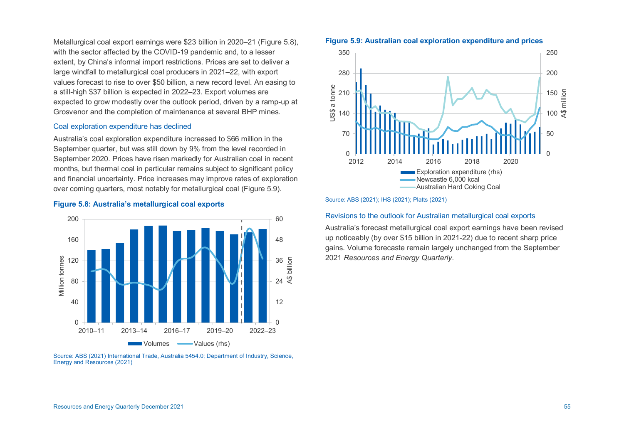Metallurgical coal export earnings were \$23 billion in 2020–21 (Figure 5.8), with the sector affected by the COVID-19 pandemic and, to a lesser extent, by China's informal import restrictions. Prices are set to deliver a large windfall to metallurgical coal producers in 2021–22, with export values forecast to rise to over \$50 billion, a new record level. An easing to a still-high \$37 billion is expected in 2022–23. Export volumes are expected to grow modestly over the outlook period, driven by a ramp-up at Grosvenor and the completion of maintenance at several BHP mines.

### Coal exploration expenditure has declined

**Figure 5.8: Australia's metallurgical coal exports** 

Australia's coal exploration expenditure increased to \$66 million in the September quarter, but was still down by 9% from the level recorded in September 2020. Prices have risen markedly for Australian coal in recent months, but thermal coal in particular remains subject to significant policy and financial uncertainty. Price increases may improve rates of exploration over coming quarters, most notably for metallurgical coal (Figure 5.9).

### 0 12 24  $36 \equiv \frac{5}{4}$ <br>24  $\frac{6}{5}$ 48 60  $\begin{array}{c} 0 \end{array}$   $\begin{array}{c} 0 \end{array}$   $\begin{array}{c} 2010-11 \end{array}$ 40 80 120 160 200 2010–11 2013–14 2016–17 2019–20 2022–23 Million tonnes Volumes **In Allie** Values (rhs)

Source: ABS (2021) International Trade, Australia 5454.0; Department of Industry, Science, Energy and Resources (2021)

## **Figure 5.9: Australian coal exploration expenditure and prices**



Source: ABS (2021); IHS (2021); Platts (2021)

### Revisions to the outlook for Australian metallurgical coal exports

Australia's forecast metallurgical coal export earnings have been revised up noticeably (by over \$15 billion in 2021-22) due to recent sharp price gains. Volume forecaste remain largely unchanged from the September 2021 *Resources and Energy Quarterly*.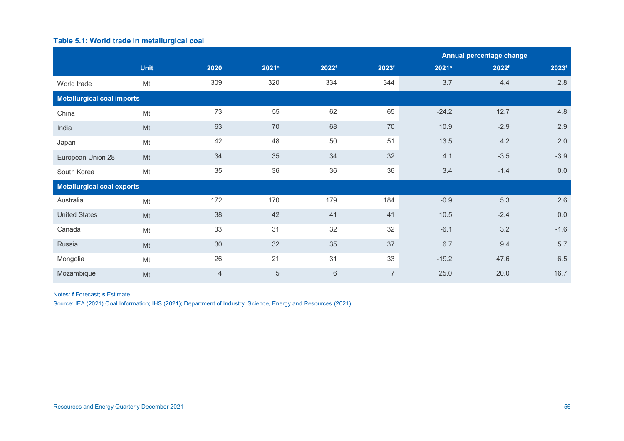# **Table 5.1: World trade in metallurgical coal**

|                                   |             |      |                   |         |                   |                   | Annual percentage change |                   |  |
|-----------------------------------|-------------|------|-------------------|---------|-------------------|-------------------|--------------------------|-------------------|--|
|                                   | <b>Unit</b> | 2020 | 2021 <sup>s</sup> | 2022f   | 2023 <sup>f</sup> | 2021 <sup>s</sup> | 2022f                    | 2023 <sup>f</sup> |  |
| World trade                       | Mt          | 309  | 320               | 334     | 344               | 3.7               | 4.4                      | 2.8               |  |
| <b>Metallurgical coal imports</b> |             |      |                   |         |                   |                   |                          |                   |  |
| China                             | Mt          | 73   | 55                | 62      | 65                | $-24.2$           | 12.7                     | 4.8               |  |
| India                             | Mt          | 63   | 70                | 68      | $70\,$            | 10.9              | $-2.9$                   | 2.9               |  |
| Japan                             | Mt          | 42   | 48                | 50      | 51                | 13.5              | 4.2                      | 2.0               |  |
| European Union 28                 | Mt          | 34   | 35                | 34      | 32                | 4.1               | $-3.5$                   | $-3.9$            |  |
| South Korea                       | Mt          | 35   | 36                | 36      | 36                | 3.4               | $-1.4$                   | $0.0\,$           |  |
| <b>Metallurgical coal exports</b> |             |      |                   |         |                   |                   |                          |                   |  |
| Australia                         | Mt          | 172  | 170               | 179     | 184               | $-0.9$            | 5.3                      | 2.6               |  |
| <b>United States</b>              | Mt          | 38   | 42                | 41      | 41                | 10.5              | $-2.4$                   | 0.0               |  |
| Canada                            | Mt          | 33   | 31                | 32      | 32                | $-6.1$            | 3.2                      | $-1.6$            |  |
| Russia                            | Mt          | 30   | 32                | 35      | 37                | 6.7               | 9.4                      | 5.7               |  |
| Mongolia                          | Mt          | 26   | 21                | 31      | 33                | $-19.2$           | 47.6                     | 6.5               |  |
| Mozambique                        | Mt          | 4    | $\overline{5}$    | $\,6\,$ | $\overline{7}$    | 25.0              | 20.0                     | 16.7              |  |

Notes: **f** Forecast; **s** Estimate.

Source: IEA (2021) Coal Information; IHS (2021); Department of Industry, Science, Energy and Resources (2021)